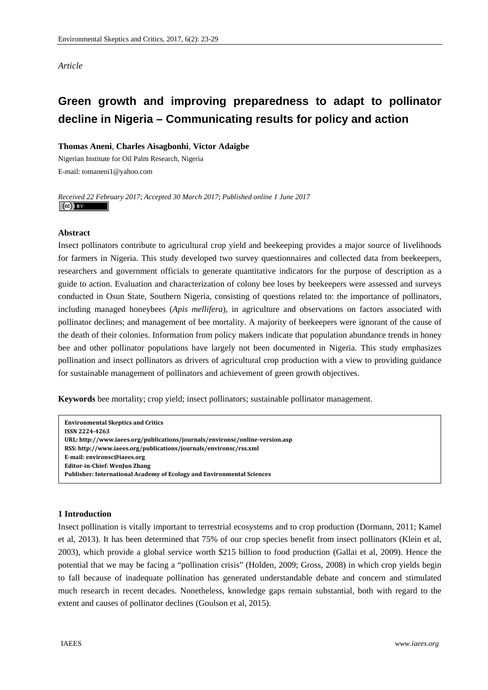## *Article*

# **Green growth and improving preparedness to adapt to pollinator decline in Nigeria – Communicating results for policy and action**

## **Thomas Aneni**, **Charles Aisagbonhi**, **Victor Adaigbe**

Nigerian Institute for Oil Palm Research, Nigeria E-mail: tomaneni1@yahoo.com

*Received 22 February 2017*; *Accepted 30 March 2017*; *Published online 1 June 2017*   $(cc)$  BY

## **Abstract**

Insect pollinators contribute to agricultural crop yield and beekeeping provides a major source of livelihoods for farmers in Nigeria. This study developed two survey questionnaires and collected data from beekeepers, researchers and government officials to generate quantitative indicators for the purpose of description as a guide to action. Evaluation and characterization of colony bee loses by beekeepers were assessed and surveys conducted in Osun State, Southern Nigeria, consisting of questions related to: the importance of pollinators, including managed honeybees (*Apis mellifera*), in agriculture and observations on factors associated with pollinator declines; and management of bee mortality. A majority of beekeepers were ignorant of the cause of the death of their colonies. Information from policy makers indicate that population abundance trends in honey bee and other pollinator populations have largely not been documented in Nigeria. This study emphasizes pollination and insect pollinators as drivers of agricultural crop production with a view to providing guidance for sustainable management of pollinators and achievement of green growth objectives.

**Keywords** bee mortality; crop yield; insect pollinators; sustainable pollinator management.

**Environmental Skeptics and Critics ISSN 22244263 URL: http://www.iaees.org/publications/journals/environsc/onlineversion.asp RSS: http://www.iaees.org/publications/journals/environsc/rss.xml Email: environsc@iaees.org EditorinChief: WenJun Zhang Publisher: International Academy of Ecology and Environmental Sciences**

#### **1 Introduction**

Insect pollination is vitally important to terrestrial ecosystems and to crop production (Dormann, 2011; Kamel et al, 2013). It has been determined that 75% of our crop species benefit from insect pollinators (Klein et al, 2003), which provide a global service worth \$215 billion to food production (Gallai et al, 2009). Hence the potential that we may be facing a "pollination crisis" (Holden, 2009; Gross, 2008) in which crop yields begin to fall because of inadequate pollination has generated understandable debate and concern and stimulated much research in recent decades. Nonetheless, knowledge gaps remain substantial, both with regard to the extent and causes of pollinator declines (Goulson et al, 2015).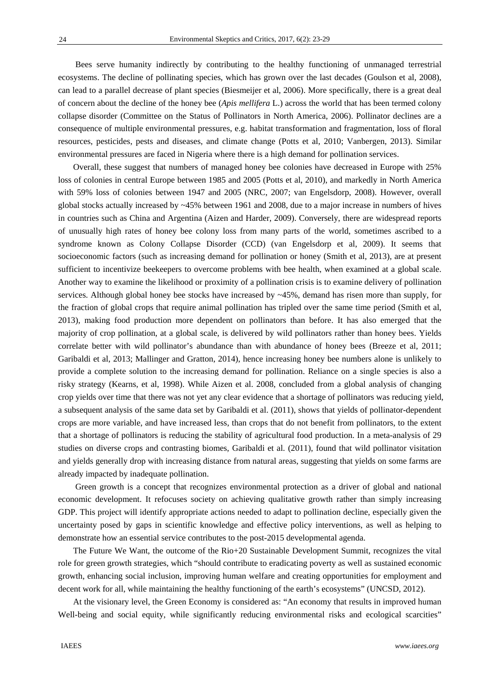Bees serve humanity indirectly by contributing to the healthy functioning of unmanaged terrestrial ecosystems. The decline of pollinating species, which has grown over the last decades (Goulson et al, 2008), can lead to a parallel decrease of plant species (Biesmeijer et al, 2006). More specifically, there is a great deal of concern about the decline of the honey bee (*Apis mellifera* L.) across the world that has been termed colony collapse disorder (Committee on the Status of Pollinators in North America, 2006). Pollinator declines are a consequence of multiple environmental pressures, e.g. habitat transformation and fragmentation, loss of floral resources, pesticides, pests and diseases, and climate change (Potts et al, 2010; Vanbergen, 2013). Similar environmental pressures are faced in Nigeria where there is a high demand for pollination services.

 Overall, these suggest that numbers of managed honey bee colonies have decreased in Europe with 25% loss of colonies in central Europe between 1985 and 2005 (Potts et al, 2010), and markedly in North America with 59% loss of colonies between 1947 and 2005 (NRC, 2007; van Engelsdorp, 2008). However, overall global stocks actually increased by  $\sim$ 45% between 1961 and 2008, due to a major increase in numbers of hives in countries such as China and Argentina (Aizen and Harder, 2009). Conversely, there are widespread reports of unusually high rates of honey bee colony loss from many parts of the world, sometimes ascribed to a syndrome known as Colony Collapse Disorder (CCD) (van Engelsdorp et al, 2009). It seems that socioeconomic factors (such as increasing demand for pollination or honey (Smith et al, 2013), are at present sufficient to incentivize beekeepers to overcome problems with bee health, when examined at a global scale. Another way to examine the likelihood or proximity of a pollination crisis is to examine delivery of pollination services. Although global honey bee stocks have increased by  $\sim$ 45%, demand has risen more than supply, for the fraction of global crops that require animal pollination has tripled over the same time period (Smith et al, 2013), making food production more dependent on pollinators than before. It has also emerged that the majority of crop pollination, at a global scale, is delivered by wild pollinators rather than honey bees. Yields correlate better with wild pollinator's abundance than with abundance of honey bees (Breeze et al, 2011; Garibaldi et al, 2013; Mallinger and Gratton, 2014), hence increasing honey bee numbers alone is unlikely to provide a complete solution to the increasing demand for pollination. Reliance on a single species is also a risky strategy (Kearns, et al, 1998). While Aizen et al. 2008, concluded from a global analysis of changing crop yields over time that there was not yet any clear evidence that a shortage of pollinators was reducing yield, a subsequent analysis of the same data set by Garibaldi et al. (2011), shows that yields of pollinator-dependent crops are more variable, and have increased less, than crops that do not benefit from pollinators, to the extent that a shortage of pollinators is reducing the stability of agricultural food production. In a meta-analysis of 29 studies on diverse crops and contrasting biomes, Garibaldi et al. (2011), found that wild pollinator visitation and yields generally drop with increasing distance from natural areas, suggesting that yields on some farms are already impacted by inadequate pollination.

Green growth is a concept that recognizes environmental protection as a driver of global and national economic development. It refocuses society on achieving qualitative growth rather than simply increasing GDP. This project will identify appropriate actions needed to adapt to pollination decline, especially given the uncertainty posed by gaps in scientific knowledge and effective policy interventions, as well as helping to demonstrate how an essential service contributes to the post-2015 developmental agenda.

 The Future We Want, the outcome of the Rio+20 Sustainable Development Summit, recognizes the vital role for green growth strategies, which "should contribute to eradicating poverty as well as sustained economic growth, enhancing social inclusion, improving human welfare and creating opportunities for employment and decent work for all, while maintaining the healthy functioning of the earth's ecosystems" (UNCSD, 2012).

 At the visionary level, the Green Economy is considered as: "An economy that results in improved human Well-being and social equity, while significantly reducing environmental risks and ecological scarcities"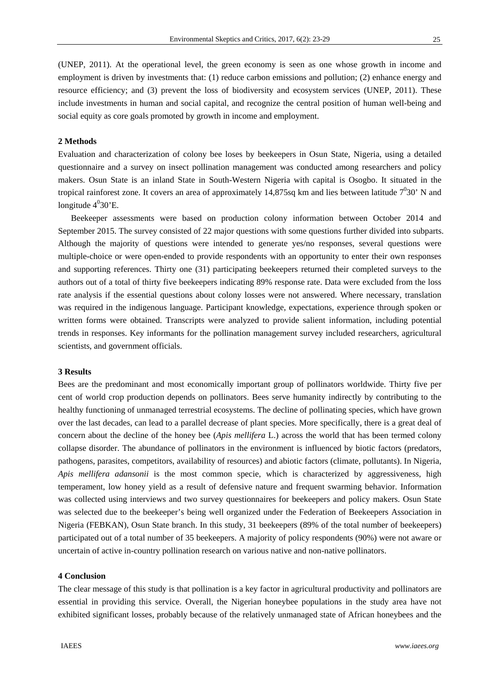(UNEP, 2011). At the operational level, the green economy is seen as one whose growth in income and employment is driven by investments that: (1) reduce carbon emissions and pollution; (2) enhance energy and resource efficiency; and (3) prevent the loss of biodiversity and ecosystem services (UNEP, 2011). These include investments in human and social capital, and recognize the central position of human well-being and social equity as core goals promoted by growth in income and employment.

# **2 Methods**

Evaluation and characterization of colony bee loses by beekeepers in Osun State, Nigeria, using a detailed questionnaire and a survey on insect pollination management was conducted among researchers and policy makers. Osun State is an inland State in South-Western Nigeria with capital is Osogbo. It situated in the tropical rainforest zone. It covers an area of approximately 14,875sq km and lies between latitude  $7^030'$  N and longitude  $4^030$ 'E.

 Beekeeper assessments were based on production colony information between October 2014 and September 2015. The survey consisted of 22 major questions with some questions further divided into subparts. Although the majority of questions were intended to generate yes/no responses, several questions were multiple-choice or were open-ended to provide respondents with an opportunity to enter their own responses and supporting references. Thirty one (31) participating beekeepers returned their completed surveys to the authors out of a total of thirty five beekeepers indicating 89% response rate. Data were excluded from the loss rate analysis if the essential questions about colony losses were not answered. Where necessary, translation was required in the indigenous language. Participant knowledge, expectations, experience through spoken or written forms were obtained. Transcripts were analyzed to provide salient information, including potential trends in responses. Key informants for the pollination management survey included researchers, agricultural scientists, and government officials.

#### **3 Results**

Bees are the predominant and most economically important group of pollinators worldwide. Thirty five per cent of world crop production depends on pollinators. Bees serve humanity indirectly by contributing to the healthy functioning of unmanaged terrestrial ecosystems. The decline of pollinating species, which have grown over the last decades, can lead to a parallel decrease of plant species. More specifically, there is a great deal of concern about the decline of the honey bee (*Apis mellifera* L.) across the world that has been termed colony collapse disorder. The abundance of pollinators in the environment is influenced by biotic factors (predators, pathogens, parasites, competitors, availability of resources) and abiotic factors (climate, pollutants). In Nigeria, *Apis mellifera adansonii* is the most common specie, which is characterized by aggressiveness, high temperament, low honey yield as a result of defensive nature and frequent swarming behavior. Information was collected using interviews and two survey questionnaires for beekeepers and policy makers. Osun State was selected due to the beekeeper's being well organized under the Federation of Beekeepers Association in Nigeria (FEBKAN), Osun State branch. In this study, 31 beekeepers (89% of the total number of beekeepers) participated out of a total number of 35 beekeepers. A majority of policy respondents (90%) were not aware or uncertain of active in-country pollination research on various native and non-native pollinators.

### **4 Conclusion**

The clear message of this study is that pollination is a key factor in agricultural productivity and pollinators are essential in providing this service. Overall, the Nigerian honeybee populations in the study area have not exhibited significant losses, probably because of the relatively unmanaged state of African honeybees and the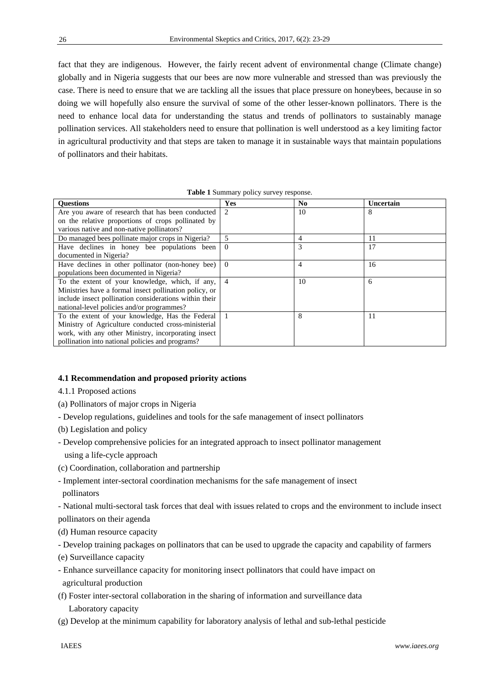fact that they are indigenous. However, the fairly recent advent of environmental change (Climate change) globally and in Nigeria suggests that our bees are now more vulnerable and stressed than was previously the case. There is need to ensure that we are tackling all the issues that place pressure on honeybees, because in so doing we will hopefully also ensure the survival of some of the other lesser-known pollinators. There is the need to enhance local data for understanding the status and trends of pollinators to sustainably manage pollination services. All stakeholders need to ensure that pollination is well understood as a key limiting factor in agricultural productivity and that steps are taken to manage it in sustainable ways that maintain populations of pollinators and their habitats.

| $\mathbf{r}$ and $\mathbf{r}$ building $\mathbf{r}$ building $\mathbf{r}$ but $\mathbf{r}$ by $\mathbf{r}$ be possible. |                               |                |                  |
|-------------------------------------------------------------------------------------------------------------------------|-------------------------------|----------------|------------------|
| <b>Ouestions</b>                                                                                                        | Yes                           | N <sub>0</sub> | <b>Uncertain</b> |
| Are you aware of research that has been conducted                                                                       | $\mathfrak{D}_{\mathfrak{p}}$ | 10             | 8                |
| on the relative proportions of crops pollinated by                                                                      |                               |                |                  |
| various native and non-native pollinators?                                                                              |                               |                |                  |
| Do managed bees pollinate major crops in Nigeria?                                                                       | 5                             | 4              | 11               |
| Have declines in honey bee populations been                                                                             | $\theta$                      | 3              | 17               |
| documented in Nigeria?                                                                                                  |                               |                |                  |
| Have declines in other pollinator (non-honey bee)                                                                       | $\Omega$                      | 4              | 16               |
| populations been documented in Nigeria?                                                                                 |                               |                |                  |
| To the extent of your knowledge, which, if any,                                                                         | $\overline{4}$                | 10             | 6                |
| Ministries have a formal insect pollination policy, or                                                                  |                               |                |                  |
| include insect pollination considerations within their                                                                  |                               |                |                  |
| national-level policies and/or programmes?                                                                              |                               |                |                  |
| To the extent of your knowledge, Has the Federal                                                                        |                               | 8              | 11               |
| Ministry of Agriculture conducted cross-ministerial                                                                     |                               |                |                  |
| work, with any other Ministry, incorporating insect                                                                     |                               |                |                  |
| pollination into national policies and programs?                                                                        |                               |                |                  |

**Table 1** Summary policy survey response.

#### **4.1 Recommendation and proposed priority actions**

- 4.1.1 Proposed actions
- (a) Pollinators of major crops in Nigeria
- Develop regulations, guidelines and tools for the safe management of insect pollinators
- (b) Legislation and policy
- Develop comprehensive policies for an integrated approach to insect pollinator management using a life-cycle approach
- (c) Coordination, collaboration and partnership
- Implement inter-sectoral coordination mechanisms for the safe management of insect pollinators

- National multi-sectoral task forces that deal with issues related to crops and the environment to include insect pollinators on their agenda

- (d) Human resource capacity
- Develop training packages on pollinators that can be used to upgrade the capacity and capability of farmers
- (e) Surveillance capacity
- Enhance surveillance capacity for monitoring insect pollinators that could have impact on agricultural production
- (f) Foster inter-sectoral collaboration in the sharing of information and surveillance data Laboratory capacity
- (g) Develop at the minimum capability for laboratory analysis of lethal and sub-lethal pesticide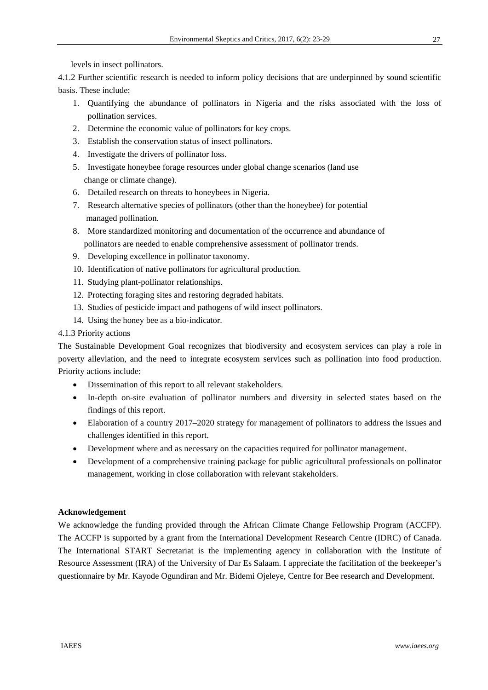levels in insect pollinators.

4.1.2 Further scientific research is needed to inform policy decisions that are underpinned by sound scientific basis. These include:

- 1. Quantifying the abundance of pollinators in Nigeria and the risks associated with the loss of pollination services.
- 2. Determine the economic value of pollinators for key crops.
- 3. Establish the conservation status of insect pollinators.
- 4. Investigate the drivers of pollinator loss.
- 5. Investigate honeybee forage resources under global change scenarios (land use change or climate change).
- 6. Detailed research on threats to honeybees in Nigeria.
- 7. Research alternative species of pollinators (other than the honeybee) for potential managed pollination.
- 8. More standardized monitoring and documentation of the occurrence and abundance of pollinators are needed to enable comprehensive assessment of pollinator trends.
- 9. Developing excellence in pollinator taxonomy.
- 10. Identification of native pollinators for agricultural production.
- 11. Studying plant-pollinator relationships.
- 12. Protecting foraging sites and restoring degraded habitats.
- 13. Studies of pesticide impact and pathogens of wild insect pollinators.
- 14. Using the honey bee as a bio-indicator.

# 4.1.3 Priority actions

The Sustainable Development Goal recognizes that biodiversity and ecosystem services can play a role in poverty alleviation, and the need to integrate ecosystem services such as pollination into food production. Priority actions include:

- Dissemination of this report to all relevant stakeholders.
- In-depth on-site evaluation of pollinator numbers and diversity in selected states based on the findings of this report.
- Elaboration of a country 2017–2020 strategy for management of pollinators to address the issues and challenges identified in this report.
- Development where and as necessary on the capacities required for pollinator management.
- Development of a comprehensive training package for public agricultural professionals on pollinator management, working in close collaboration with relevant stakeholders.

# **Acknowledgement**

We acknowledge the funding provided through the African Climate Change Fellowship Program (ACCFP). The ACCFP is supported by a grant from the International Development Research Centre (IDRC) of Canada. The International START Secretariat is the implementing agency in collaboration with the Institute of Resource Assessment (IRA) of the University of Dar Es Salaam. I appreciate the facilitation of the beekeeper's questionnaire by Mr. Kayode Ogundiran and Mr. Bidemi Ojeleye, Centre for Bee research and Development.

27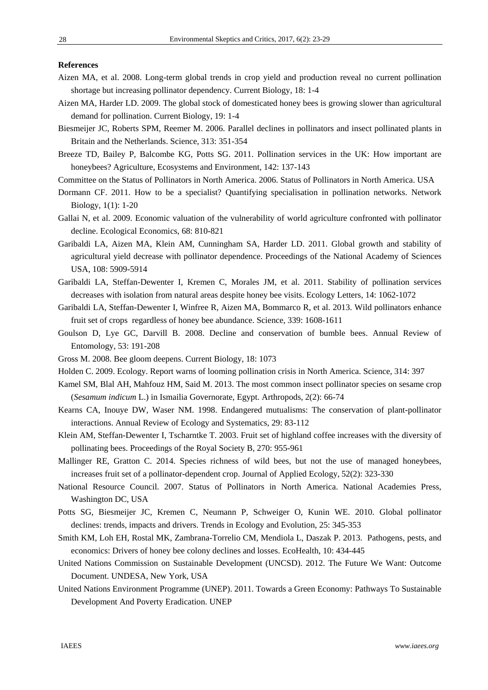## **References**

- Aizen MA, et al. 2008. Long-term global trends in crop yield and production reveal no current pollination shortage but increasing pollinator dependency. Current Biology, 18: 1-4
- Aizen MA, Harder LD. 2009. The global stock of domesticated honey bees is growing slower than agricultural demand for pollination. Current Biology, 19: 1-4
- Biesmeijer JC, Roberts SPM, Reemer M. 2006. Parallel declines in pollinators and insect pollinated plants in Britain and the Netherlands. Science, 313: 351-354
- Breeze TD, Bailey P, Balcombe KG, Potts SG. 2011. Pollination services in the UK: How important are honeybees? Agriculture, Ecosystems and Environment, 142: 137-143
- Committee on the Status of Pollinators in North America. 2006. Status of Pollinators in North America. USA
- Dormann CF. 2011. How to be a specialist? Quantifying specialisation in pollination networks. Network Biology, 1(1): 1-20
- Gallai N, et al. 2009. Economic valuation of the vulnerability of world agriculture confronted with pollinator decline. Ecological Economics, 68: 810-821
- Garibaldi LA, Aizen MA, Klein AM, Cunningham SA, Harder LD. 2011. Global growth and stability of agricultural yield decrease with pollinator dependence. Proceedings of the National Academy of Sciences USA, 108: 5909-5914
- Garibaldi LA, Steffan-Dewenter I, Kremen C, Morales JM, et al. 2011. Stability of pollination services decreases with isolation from natural areas despite honey bee visits. Ecology Letters, 14: 1062-1072
- Garibaldi LA, Steffan-Dewenter I, Winfree R, Aizen MA, Bommarco R, et al. 2013. Wild pollinators enhance fruit set of crops regardless of honey bee abundance. Science, 339: 1608-1611
- Goulson D, Lye GC, Darvill B. 2008. Decline and conservation of bumble bees. Annual Review of Entomology, 53: 191-208
- Gross M. 2008. Bee gloom deepens. Current Biology, 18: 1073
- Holden C. 2009. Ecology. Report warns of looming pollination crisis in North America. Science, 314: 397
- Kamel SM, Blal AH, Mahfouz HM, Said M. 2013. The most common insect pollinator species on sesame crop (*Sesamum indicum* L.) in Ismailia Governorate, Egypt. Arthropods, 2(2): 66-74
- Kearns CA, Inouye DW, Waser NM. 1998. Endangered mutualisms: The conservation of plant-pollinator interactions. Annual Review of Ecology and Systematics, 29: 83-112
- Klein AM, Steffan-Dewenter I, Tscharntke T. 2003. Fruit set of highland coffee increases with the diversity of pollinating bees. Proceedings of the Royal Society B, 270: 955-961
- Mallinger RE, Gratton C. 2014. Species richness of wild bees, but not the use of managed honeybees, increases fruit set of a pollinator-dependent crop. Journal of Applied Ecology, 52(2): 323-330
- National Resource Council. 2007. Status of Pollinators in North America. National Academies Press, Washington DC, USA
- Potts SG, Biesmeijer JC, Kremen C, Neumann P, Schweiger O, Kunin WE. 2010. Global pollinator declines: trends, impacts and drivers. Trends in Ecology and Evolution, 25: 345-353
- Smith KM, Loh EH, Rostal MK, Zambrana-Torrelio CM, Mendiola L, Daszak P. 2013. Pathogens, pests, and economics: Drivers of honey bee colony declines and losses. EcoHealth, 10: 434-445
- United Nations Commission on Sustainable Development (UNCSD). 2012. The Future We Want: Outcome Document. UNDESA, New York, USA
- United Nations Environment Programme (UNEP). 2011. Towards a Green Economy: Pathways To Sustainable Development And Poverty Eradication. UNEP